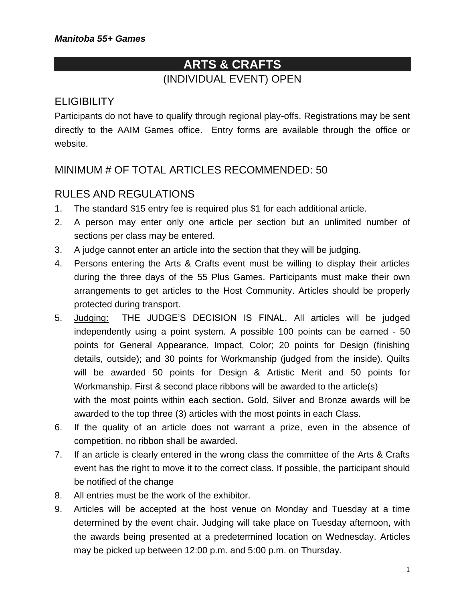# **ARTS & CRAFTS** (INDIVIDUAL EVENT) OPEN

## **ELIGIBILITY**

Participants do not have to qualify through regional play-offs. Registrations may be sent directly to the AAIM Games office. Entry forms are available through the office or website.

# MINIMUM # OF TOTAL ARTICLES RECOMMENDED: 50

## RULES AND REGULATIONS

- 1. The standard \$15 entry fee is required plus \$1 for each additional article.
- 2. A person may enter only one article per section but an unlimited number of sections per class may be entered.
- 3. A judge cannot enter an article into the section that they will be judging.
- 4. Persons entering the Arts & Crafts event must be willing to display their articles during the three days of the 55 Plus Games. Participants must make their own arrangements to get articles to the Host Community. Articles should be properly protected during transport.
- 5. Judging: THE JUDGE'S DECISION IS FINAL. All articles will be judged independently using a point system. A possible 100 points can be earned - 50 points for General Appearance, Impact, Color; 20 points for Design (finishing details, outside); and 30 points for Workmanship (judged from the inside). Quilts will be awarded 50 points for Design & Artistic Merit and 50 points for Workmanship. First & second place ribbons will be awarded to the article(s) with the most points within each section**.** Gold, Silver and Bronze awards will be awarded to the top three (3) articles with the most points in each Class.
- 6. If the quality of an article does not warrant a prize, even in the absence of competition, no ribbon shall be awarded.
- 7. If an article is clearly entered in the wrong class the committee of the Arts & Crafts event has the right to move it to the correct class. If possible, the participant should be notified of the change
- 8. All entries must be the work of the exhibitor.
- 9. Articles will be accepted at the host venue on Monday and Tuesday at a time determined by the event chair. Judging will take place on Tuesday afternoon, with the awards being presented at a predetermined location on Wednesday. Articles may be picked up between 12:00 p.m. and 5:00 p.m. on Thursday.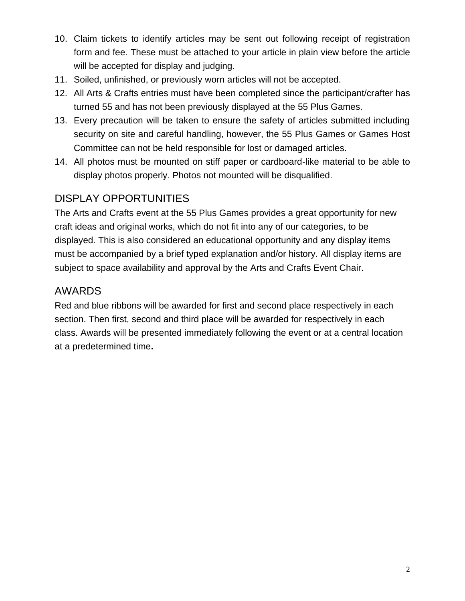- 10. Claim tickets to identify articles may be sent out following receipt of registration form and fee. These must be attached to your article in plain view before the article will be accepted for display and judging.
- 11. Soiled, unfinished, or previously worn articles will not be accepted.
- 12. All Arts & Crafts entries must have been completed since the participant/crafter has turned 55 and has not been previously displayed at the 55 Plus Games.
- 13. Every precaution will be taken to ensure the safety of articles submitted including security on site and careful handling, however, the 55 Plus Games or Games Host Committee can not be held responsible for lost or damaged articles.
- 14. All photos must be mounted on stiff paper or cardboard-like material to be able to display photos properly. Photos not mounted will be disqualified.

# DISPLAY OPPORTUNITIES

The Arts and Crafts event at the 55 Plus Games provides a great opportunity for new craft ideas and original works, which do not fit into any of our categories, to be displayed. This is also considered an educational opportunity and any display items must be accompanied by a brief typed explanation and/or history. All display items are subject to space availability and approval by the Arts and Crafts Event Chair.

# AWARDS

Red and blue ribbons will be awarded for first and second place respectively in each section. Then first, second and third place will be awarded for respectively in each class. Awards will be presented immediately following the event or at a central location at a predetermined time**.**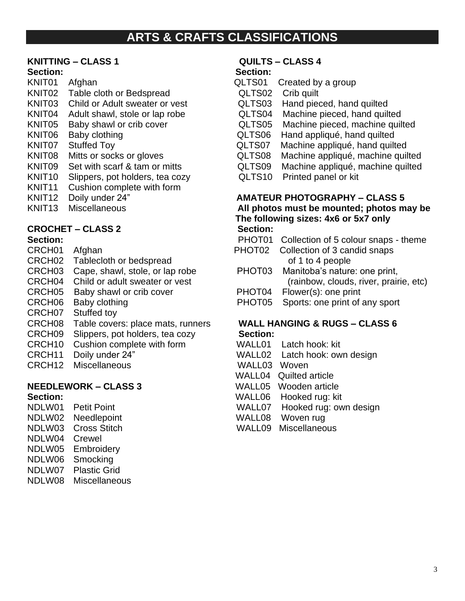# **ARTS & CRAFTS CLASSIFICATIONS**

### **KNITTING – CLASS 1 QUILTS – CLASS 4**

- KNIT01 Afghan **Grand CLTS01** Created by a group KNIT02 Table cloth or Bedspread **QLTS02** Crib quilt KNIT03 Child or Adult sweater or vest **QLTS03** Hand pieced, hand quilted<br>KNIT04 Adult shawl, stole or lap robe **QLTS04** Machine pieced, hand quilted KNIT04 Adult shawl, stole or lap robe QLTS04<br>
KNIT05 Baby shawl or crib cover QLTS05 KNIT05 Baby shawl or crib cover QLTS05 Machine pieced, machine quilted
- 
- 
- 
- KNIT09 Set with scarf & tam or mitts GLTS09
- KNIT10 Slippers, pot holders, tea cozy QLTS10 Printed panel or kit
- KNIT11 Cushion complete with form
- 
- 

### **CROCHET – CLASS 2 Section:**

- 
- CRCH02 Tablecloth or bedspread
- CRCH03 Cape, shawl, stole, or lap robe PHOT03 Manitoba's nature: one print,
- 
- 
- 
- CRCH07 Stuffed toy
- CRCH08 Table covers: place mats, runners **WALL HANGING & RUGS – CLASS 6**
- CRCH09 Slippers, pot holders, tea cozy **Section:**
- CRCH10 Cushion complete with form WALL01 Latch hook: kit
- 
- CRCH12 Miscellaneous WALL03 Woven

### **NEEDLEWORK – CLASS 3** WALL05 Wooden article

- 
- NDLW02 Needlepoint WALL08 Woven rug
- 
- NDLW04 Crewel
- NDLW05 Embroidery
- NDLW06 Smocking
- NDLW07 Plastic Grid
- NDLW08 Miscellaneous

### **Section: Section:**

- 
- 
- 
- 
- 
- KNIT06 Baby clothing **COLTS06** Hand appliqué, hand quilted
- KNIT07 Stuffed Toy <br>
KNIT08 Mitts or socks or gloves <br>
QLTS08 Machine appliqué, machine quil
	- Machine appliqué, machine quilted<br>Machine appliqué, machine quilted
	- -

# KNIT12 Doily under 24" **AMATEUR PHOTOGRAPHY – CLASS 5**<br>
KNIT13 Miscellaneous **All photos must be mounted: photos m**

All photos must be mounted; photos may be **The following sizes: 4x6 or 5x7 only**

**Section: PHOT01** Collection of 5 colour snaps - theme CRCH01 Afghan **PHOT02 Collection of 3 candid snaps**<br>CRCH02 Tablecloth or bedspread of 1 to 4 people CRCH04 Child or adult sweater or vest (rainbow, clouds, river, prairie, etc) CRCH05 Baby shawl or crib cover PHOT04 Flower(s): one print<br>CRCH06 Baby clothing PHOT05 Sports: one print of PHOT05 Sports: one print of any sport

- 
- CRCH11 Doily under 24" WALL02 Latch hook: own design
	-
	- WALL04 Quilted article
	-
- Section: **Section: Section: WALL06** Hooked rug: kit
- NDLW01 Petit Point Notes and MALL07 Hooked rug: own design
	-
- NDLW03 Cross Stitch WALL09 Miscellaneous